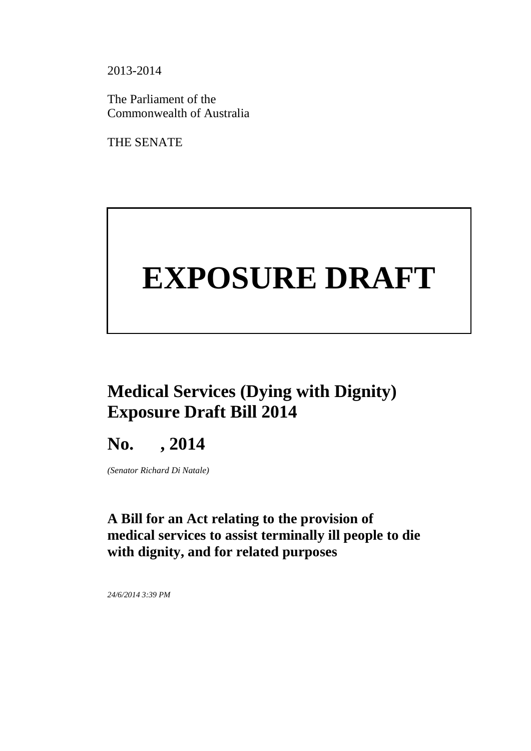2013-2014

The Parliament of the Commonwealth of Australia

THE SENATE

# **EXPOSURE DRAFT**

# **Medical Services (Dying with Dignity) Exposure Draft Bill 2014**

# **No. , 2014**

*(Senator Richard Di Natale)*

## **A Bill for an Act relating to the provision of medical services to assist terminally ill people to die with dignity, and for related purposes**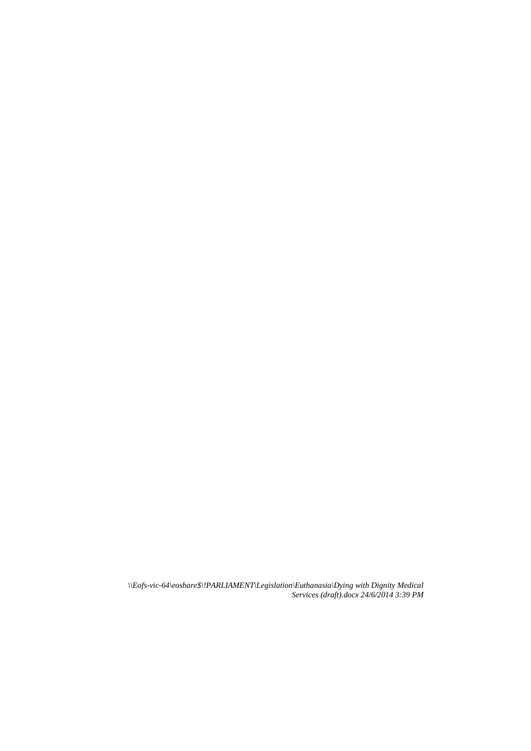*\\Eofs-vic-64\eoshare\$\!PARLIAMENT\Legislation\Euthanasia\Dying with Dignity Medical Services (draft).docx 24/6/2014 3:39 PM*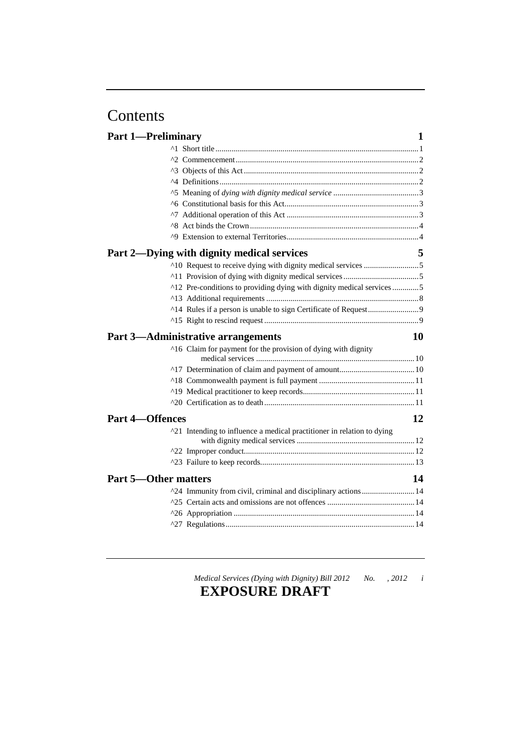# Contents

| <b>Part 1-Preliminary</b>   |                                                                        | 1  |
|-----------------------------|------------------------------------------------------------------------|----|
|                             |                                                                        |    |
|                             |                                                                        |    |
|                             |                                                                        |    |
|                             |                                                                        |    |
|                             |                                                                        |    |
|                             |                                                                        |    |
|                             |                                                                        |    |
|                             |                                                                        |    |
|                             |                                                                        |    |
|                             | Part 2—Dying with dignity medical services                             | 5  |
|                             |                                                                        |    |
|                             |                                                                        |    |
|                             | ^12 Pre-conditions to providing dying with dignity medical services 5  |    |
|                             |                                                                        |    |
|                             |                                                                        |    |
|                             |                                                                        |    |
|                             |                                                                        |    |
|                             | <b>Part 3-Administrative arrangements</b>                              | 10 |
|                             | ^16 Claim for payment for the provision of dying with dignity          |    |
|                             |                                                                        |    |
|                             |                                                                        |    |
|                             |                                                                        |    |
|                             |                                                                        |    |
|                             |                                                                        |    |
| <b>Part 4-Offences</b>      |                                                                        | 12 |
|                             | ^21 Intending to influence a medical practitioner in relation to dying |    |
|                             |                                                                        |    |
|                             |                                                                        |    |
| <b>Part 5—Other matters</b> |                                                                        | 14 |
|                             |                                                                        |    |
|                             | ^24 Immunity from civil, criminal and disciplinary actions  14         |    |
|                             |                                                                        |    |
|                             |                                                                        |    |

*Medical Services (Dying with Dignity) Bill 2012 No. , 2012 i*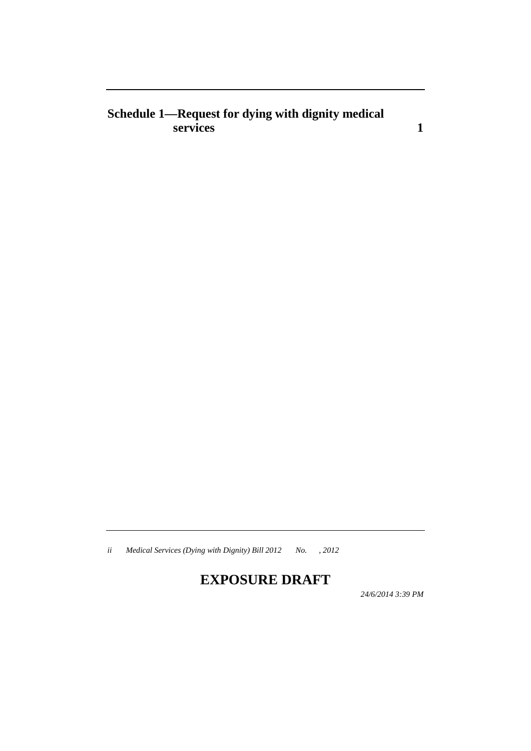## **Schedule 1—Request for dying with dignity medical services 1**

*ii Medical Services (Dying with Dignity) Bill 2012 No. , 2012*

## **EXPOSURE DRAFT**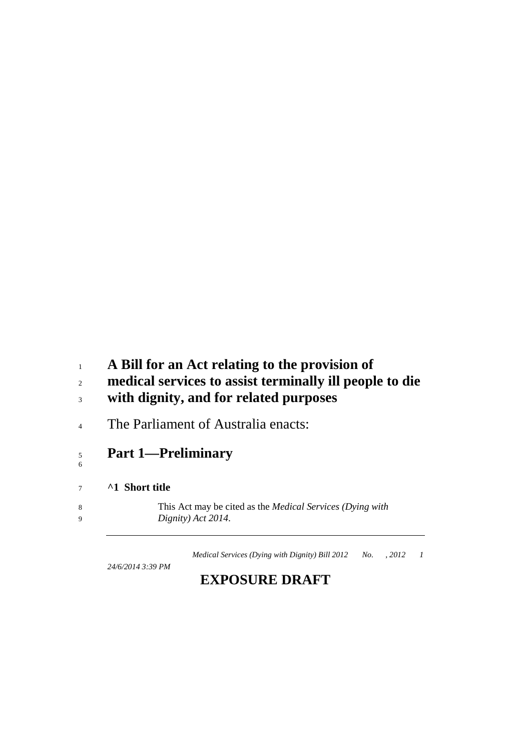## **A Bill for an Act relating to the provision of**

# **medical services to assist terminally ill people to die**

- **with dignity, and for related purposes**
- <sup>4</sup> The Parliament of Australia enacts:

#### **Part 1—Preliminary**

#### **^1 Short title**

 This Act may be cited as the *Medical Services (Dying with Dignity) Act 2014*.

*Medical Services (Dying with Dignity) Bill 2012 No. , 2012 1*

*24/6/2014 3:39 PM*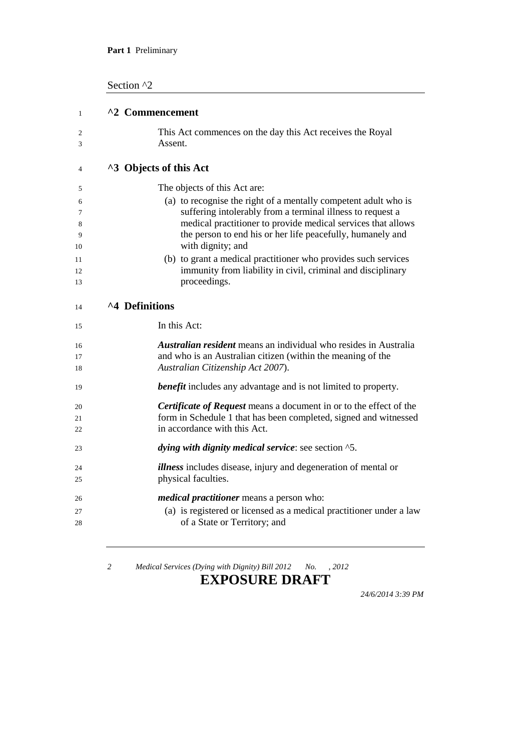Section ^2

| 1              | ^2 Commencement                                                                                                                                                             |
|----------------|-----------------------------------------------------------------------------------------------------------------------------------------------------------------------------|
| 2<br>3         | This Act commences on the day this Act receives the Royal<br>Assent.                                                                                                        |
| 4              | ^3 Objects of this Act                                                                                                                                                      |
| 5              | The objects of this Act are:                                                                                                                                                |
| 6              | (a) to recognise the right of a mentally competent adult who is                                                                                                             |
| 7              | suffering intolerably from a terminal illness to request a<br>medical practitioner to provide medical services that allows                                                  |
| 8<br>9<br>10   | the person to end his or her life peacefully, humanely and<br>with dignity; and                                                                                             |
| 11             | (b) to grant a medical practitioner who provides such services                                                                                                              |
| 12             | immunity from liability in civil, criminal and disciplinary                                                                                                                 |
| 13             | proceedings.                                                                                                                                                                |
| 14             | ^4 Definitions                                                                                                                                                              |
| 15             | In this Act:                                                                                                                                                                |
| 16<br>17<br>18 | <b>Australian resident</b> means an individual who resides in Australia<br>and who is an Australian citizen (within the meaning of the<br>Australian Citizenship Act 2007). |
| 19             | <b>benefit</b> includes any advantage and is not limited to property.                                                                                                       |
| 20             | <b>Certificate of Request</b> means a document in or to the effect of the                                                                                                   |
| 21             | form in Schedule 1 that has been completed, signed and witnessed                                                                                                            |
| 22             | in accordance with this Act.                                                                                                                                                |
| 23             | dying with dignity medical service: see section ^5.                                                                                                                         |
| 24             | <i>illness</i> includes disease, injury and degeneration of mental or                                                                                                       |
| 25             | physical faculties.                                                                                                                                                         |
| 26             | <i>medical practitioner</i> means a person who:                                                                                                                             |
| 27             | (a) is registered or licensed as a medical practitioner under a law                                                                                                         |
| 28             | of a State or Territory; and                                                                                                                                                |
|                |                                                                                                                                                                             |

*2 Medical Services (Dying with Dignity) Bill 2012 No. , 2012*

## **EXPOSURE DRAFT**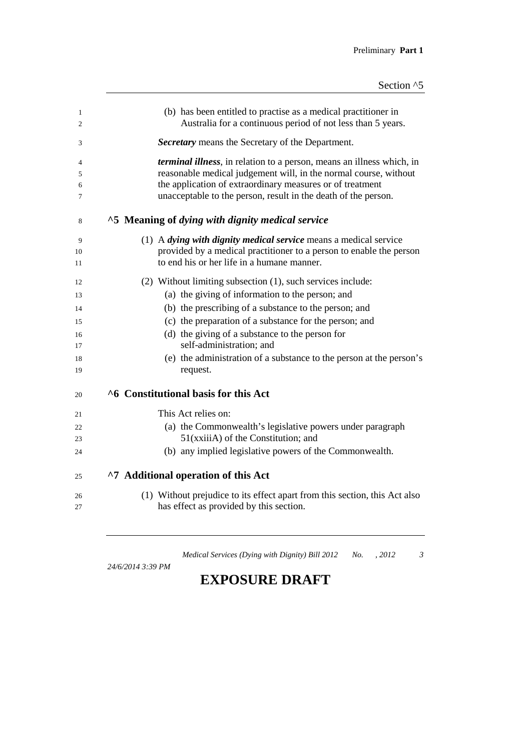| 1<br>2 | (b) has been entitled to practise as a medical practitioner in<br>Australia for a continuous period of not less than 5 years. |
|--------|-------------------------------------------------------------------------------------------------------------------------------|
| 3      | <b>Secretary</b> means the Secretary of the Department.                                                                       |
| 4      | <i>terminal illness</i> , in relation to a person, means an illness which, in                                                 |
| 5      | reasonable medical judgement will, in the normal course, without                                                              |
| 6      | the application of extraordinary measures or of treatment                                                                     |
| 7      | unacceptable to the person, result in the death of the person.                                                                |
| 8      | ^5 Meaning of dying with dignity medical service                                                                              |
| 9      | $(1)$ A <i>dying with dignity medical service</i> means a medical service                                                     |
| 10     | provided by a medical practitioner to a person to enable the person                                                           |
| 11     | to end his or her life in a humane manner.                                                                                    |
| 12     | (2) Without limiting subsection (1), such services include:                                                                   |
| 13     | (a) the giving of information to the person; and                                                                              |
| 14     | (b) the prescribing of a substance to the person; and                                                                         |
| 15     | (c) the preparation of a substance for the person; and                                                                        |
| 16     | (d) the giving of a substance to the person for                                                                               |
| 17     | self-administration; and                                                                                                      |
| 18     | (e) the administration of a substance to the person at the person's                                                           |
| 19     | request.                                                                                                                      |
| 20     | ^6 Constitutional basis for this Act                                                                                          |
| 21     | This Act relies on:                                                                                                           |
| 22     | (a) the Commonwealth's legislative powers under paragraph                                                                     |
| 23     | 51(xxiiiA) of the Constitution; and                                                                                           |
| 24     | (b) any implied legislative powers of the Commonwealth.                                                                       |
| 25     | ^7 Additional operation of this Act                                                                                           |
| 26     | (1) Without prejudice to its effect apart from this section, this Act also                                                    |
| 27     | has effect as provided by this section.                                                                                       |
|        |                                                                                                                               |

*24/6/2014 3:39 PM*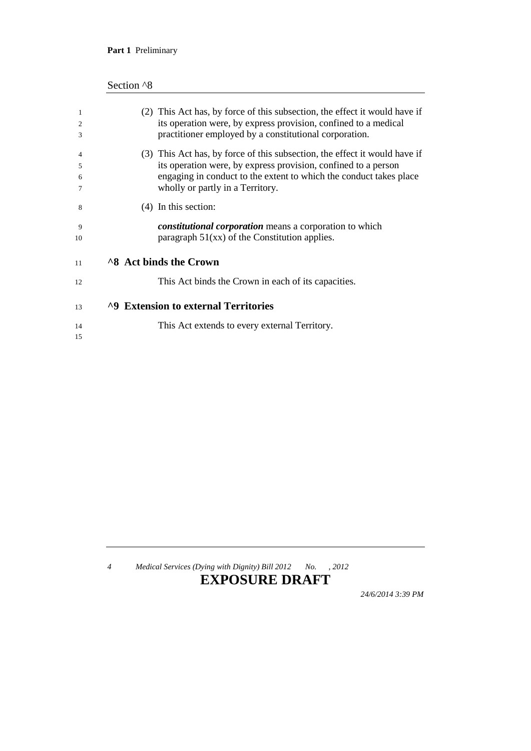#### **Part 1** Preliminary

| 1  | (2) This Act has, by force of this subsection, the effect it would have if |
|----|----------------------------------------------------------------------------|
| 2  | its operation were, by express provision, confined to a medical            |
| 3  | practitioner employed by a constitutional corporation.                     |
| 4  | (3) This Act has, by force of this subsection, the effect it would have if |
| 5  | its operation were, by express provision, confined to a person             |
| 6  | engaging in conduct to the extent to which the conduct takes place         |
| 7  | wholly or partly in a Territory.                                           |
| 8  | $(4)$ In this section:                                                     |
| 9  | <i>constitutional corporation</i> means a corporation to which             |
| 10 | paragraph $51(xx)$ of the Constitution applies.                            |
| 11 | <b>8 Act binds the Crown</b>                                               |
| 12 | This Act binds the Crown in each of its capacities.                        |
| 13 | <sup>1</sup> ^9 Extension to external Territories                          |
| 14 | This Act extends to every external Territory.                              |
| 15 |                                                                            |
|    |                                                                            |

*4 Medical Services (Dying with Dignity) Bill 2012 No. , 2012*

## **EXPOSURE DRAFT**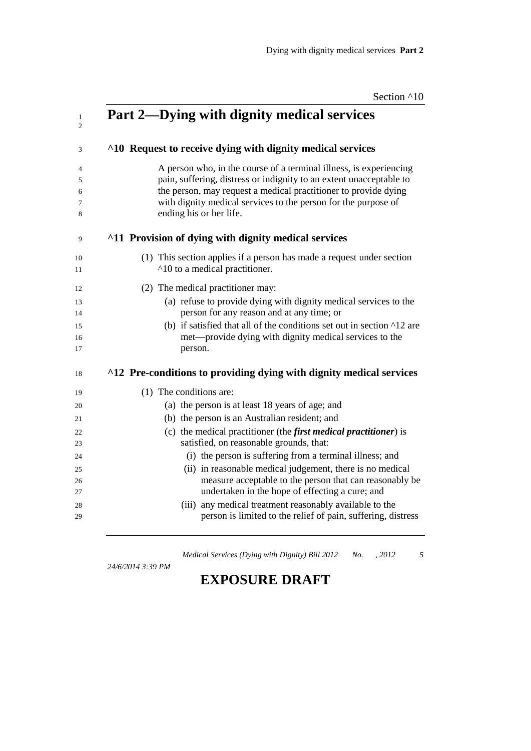| Section ^10 |  |
|-------------|--|
|             |  |

| Part 2—Dying with dignity medical services                                                                                                                                                                                                                                                                 |
|------------------------------------------------------------------------------------------------------------------------------------------------------------------------------------------------------------------------------------------------------------------------------------------------------------|
| ^10 Request to receive dying with dignity medical services                                                                                                                                                                                                                                                 |
| A person who, in the course of a terminal illness, is experiencing<br>pain, suffering, distress or indignity to an extent unacceptable to<br>the person, may request a medical practitioner to provide dying<br>with dignity medical services to the person for the purpose of<br>ending his or her life.  |
| <sup>11</sup> Provision of dying with dignity medical services                                                                                                                                                                                                                                             |
| (1) This section applies if a person has made a request under section<br>^10 to a medical practitioner.                                                                                                                                                                                                    |
| (2) The medical practitioner may:<br>(a) refuse to provide dying with dignity medical services to the<br>person for any reason and at any time; or<br>(b) if satisfied that all of the conditions set out in section $\lambda$ 12 are<br>met—provide dying with dignity medical services to the<br>person. |
| ^12 Pre-conditions to providing dying with dignity medical services                                                                                                                                                                                                                                        |
| (1) The conditions are:                                                                                                                                                                                                                                                                                    |
| (a) the person is at least 18 years of age; and                                                                                                                                                                                                                                                            |
| (b) the person is an Australian resident; and                                                                                                                                                                                                                                                              |
| (c) the medical practitioner (the <i>first medical practitioner</i> ) is                                                                                                                                                                                                                                   |
| satisfied, on reasonable grounds, that:                                                                                                                                                                                                                                                                    |
| (i) the person is suffering from a terminal illness; and                                                                                                                                                                                                                                                   |
| (ii) in reasonable medical judgement, there is no medical                                                                                                                                                                                                                                                  |
| measure acceptable to the person that can reasonably be<br>undertaken in the hope of effecting a cure; and                                                                                                                                                                                                 |
|                                                                                                                                                                                                                                                                                                            |
| (iii) any medical treatment reasonably available to the                                                                                                                                                                                                                                                    |

*24/6/2014 3:39 PM*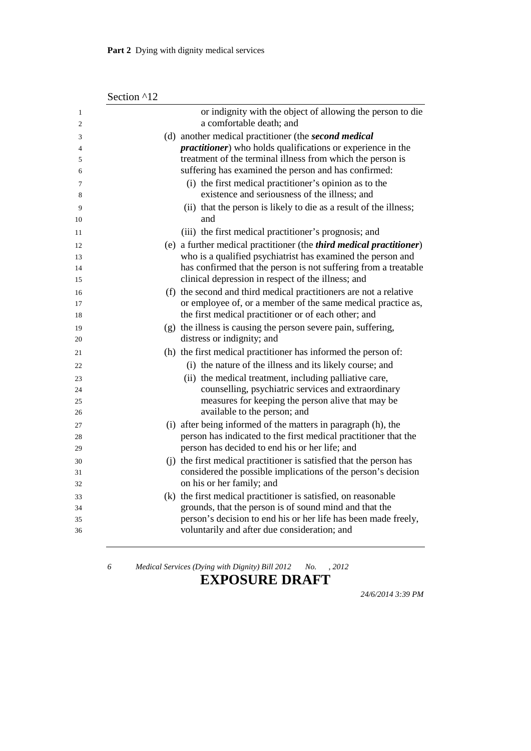| Section ^12 |  |
|-------------|--|
|-------------|--|

| $\mathbf{1}$<br>$\overline{2}$ | or indignity with the object of allowing the person to die<br>a comfortable death; and                                            |
|--------------------------------|-----------------------------------------------------------------------------------------------------------------------------------|
|                                |                                                                                                                                   |
| 3                              | (d) another medical practitioner (the second medical<br><i>practitioner</i> ) who holds qualifications or experience in the       |
| 4<br>5                         | treatment of the terminal illness from which the person is                                                                        |
| 6                              | suffering has examined the person and has confirmed:                                                                              |
| 7                              | (i) the first medical practitioner's opinion as to the                                                                            |
| 8                              | existence and seriousness of the illness; and                                                                                     |
|                                | (ii) that the person is likely to die as a result of the illness;                                                                 |
| 9                              | and                                                                                                                               |
| 10                             |                                                                                                                                   |
| 11                             | (iii) the first medical practitioner's prognosis; and                                                                             |
| 12                             | (e) a further medical practitioner (the <i>third medical practitioner</i> )                                                       |
| 13                             | who is a qualified psychiatrist has examined the person and                                                                       |
| 14<br>15                       | has confirmed that the person is not suffering from a treatable<br>clinical depression in respect of the illness; and             |
|                                |                                                                                                                                   |
| 16<br>17                       | (f) the second and third medical practitioners are not a relative<br>or employee of, or a member of the same medical practice as, |
| 18                             | the first medical practitioner or of each other; and                                                                              |
|                                | (g) the illness is causing the person severe pain, suffering,                                                                     |
| 19<br>20                       | distress or indignity; and                                                                                                        |
| 21                             | (h) the first medical practitioner has informed the person of:                                                                    |
| 22                             | (i) the nature of the illness and its likely course; and                                                                          |
| 23                             | (ii) the medical treatment, including palliative care,                                                                            |
| 24                             | counselling, psychiatric services and extraordinary                                                                               |
| 25                             | measures for keeping the person alive that may be                                                                                 |
| 26                             | available to the person; and                                                                                                      |
| 27                             | (i) after being informed of the matters in paragraph (h), the                                                                     |
| 28                             | person has indicated to the first medical practitioner that the                                                                   |
| 29                             | person has decided to end his or her life; and                                                                                    |
| 30                             | (j) the first medical practitioner is satisfied that the person has                                                               |
| 31                             | considered the possible implications of the person's decision                                                                     |
| 32                             | on his or her family; and                                                                                                         |
| 33                             | (k) the first medical practitioner is satisfied, on reasonable                                                                    |
| 34                             | grounds, that the person is of sound mind and that the                                                                            |
| 35                             | person's decision to end his or her life has been made freely,                                                                    |
| 36                             | voluntarily and after due consideration; and                                                                                      |
|                                |                                                                                                                                   |

#### **EXPOSURE DRAFT**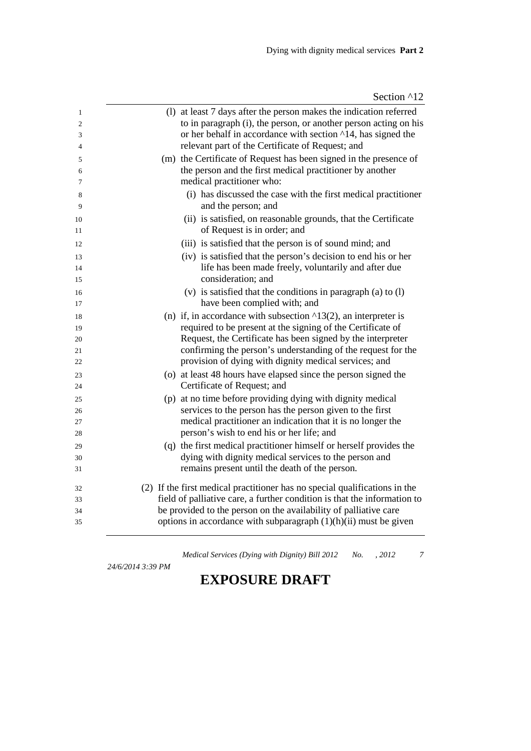| 1              | (1) at least 7 days after the person makes the indication referred                    |
|----------------|---------------------------------------------------------------------------------------|
| $\overline{2}$ | to in paragraph (i), the person, or another person acting on his                      |
| 3              | or her behalf in accordance with section ^14, has signed the                          |
| 4              | relevant part of the Certificate of Request; and                                      |
| 5              | (m) the Certificate of Request has been signed in the presence of                     |
| 6              | the person and the first medical practitioner by another                              |
| 7              | medical practitioner who:                                                             |
| 8<br>9         | (i) has discussed the case with the first medical practitioner<br>and the person; and |
| 10             | (ii) is satisfied, on reasonable grounds, that the Certificate                        |
| 11             | of Request is in order; and                                                           |
| 12             | (iii) is satisfied that the person is of sound mind; and                              |
| 13             | (iv) is satisfied that the person's decision to end his or her                        |
| 14             | life has been made freely, voluntarily and after due                                  |
| 15             | consideration; and                                                                    |
| 16             | (v) is satisfied that the conditions in paragraph (a) to (l)                          |
| 17             | have been complied with; and                                                          |
| 18             | (n) if, in accordance with subsection $\triangle 13(2)$ , an interpreter is           |
| 19             | required to be present at the signing of the Certificate of                           |
| 20             | Request, the Certificate has been signed by the interpreter                           |
| 21             | confirming the person's understanding of the request for the                          |
| 22             | provision of dying with dignity medical services; and                                 |
| 23             | (o) at least 48 hours have elapsed since the person signed the                        |
| 24             | Certificate of Request; and                                                           |
| 25             | (p) at no time before providing dying with dignity medical                            |
| 26             | services to the person has the person given to the first                              |
| 27             | medical practitioner an indication that it is no longer the                           |
| 28             | person's wish to end his or her life; and                                             |
| 29             | (q) the first medical practitioner himself or herself provides the                    |
| 30             | dying with dignity medical services to the person and                                 |
| 31             | remains present until the death of the person.                                        |
| 32             | (2) If the first medical practitioner has no special qualifications in the            |
| 33             | field of palliative care, a further condition is that the information to              |
| 34             | be provided to the person on the availability of palliative care                      |
| 35             | options in accordance with subparagraph $(1)(h)(ii)$ must be given                    |
|                |                                                                                       |

*24/6/2014 3:39 PM*

*Medical Services (Dying with Dignity) Bill 2012 No. , 2012 7*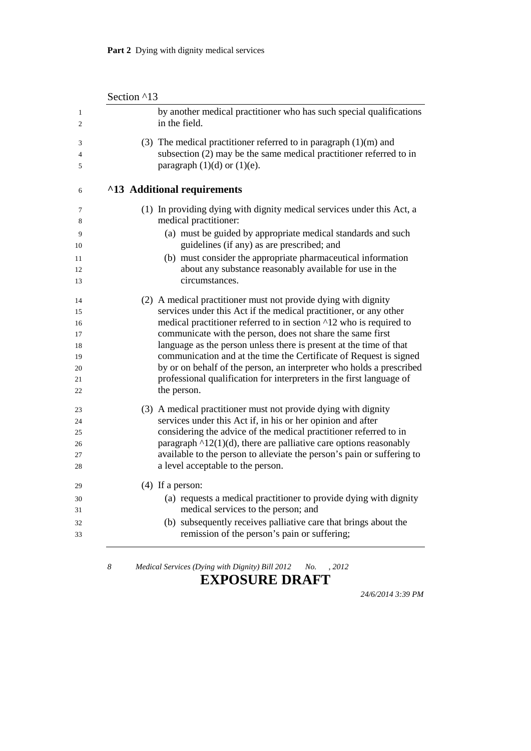Section ^13

| by another medical practitioner who has such special qualifications<br>in the field.                                                                                         |
|------------------------------------------------------------------------------------------------------------------------------------------------------------------------------|
| (3) The medical practitioner referred to in paragraph $(1)(m)$ and<br>subsection (2) may be the same medical practitioner referred to in<br>paragraph $(1)(d)$ or $(1)(e)$ . |
| ^13 Additional requirements                                                                                                                                                  |
| (1) In providing dying with dignity medical services under this Act, a                                                                                                       |
| medical practitioner:                                                                                                                                                        |
| (a) must be guided by appropriate medical standards and such<br>guidelines (if any) as are prescribed; and                                                                   |
| (b) must consider the appropriate pharmaceutical information                                                                                                                 |
| about any substance reasonably available for use in the                                                                                                                      |
| circumstances.                                                                                                                                                               |
| (2) A medical practitioner must not provide dying with dignity                                                                                                               |
| services under this Act if the medical practitioner, or any other                                                                                                            |
| medical practitioner referred to in section ^12 who is required to                                                                                                           |
| communicate with the person, does not share the same first                                                                                                                   |
| language as the person unless there is present at the time of that                                                                                                           |
| communication and at the time the Certificate of Request is signed<br>by or on behalf of the person, an interpreter who holds a prescribed                                   |
| professional qualification for interpreters in the first language of                                                                                                         |
| the person.                                                                                                                                                                  |
| (3) A medical practitioner must not provide dying with dignity                                                                                                               |
| services under this Act if, in his or her opinion and after                                                                                                                  |
| considering the advice of the medical practitioner referred to in                                                                                                            |
| paragraph $\triangle 12(1)(d)$ , there are palliative care options reasonably                                                                                                |
| available to the person to alleviate the person's pain or suffering to                                                                                                       |
| a level acceptable to the person.                                                                                                                                            |
| $(4)$ If a person:                                                                                                                                                           |
| (a) requests a medical practitioner to provide dying with dignity                                                                                                            |
| medical services to the person; and                                                                                                                                          |
| (b) subsequently receives palliative care that brings about the                                                                                                              |
| remission of the person's pain or suffering;                                                                                                                                 |

#### **EXPOSURE DRAFT**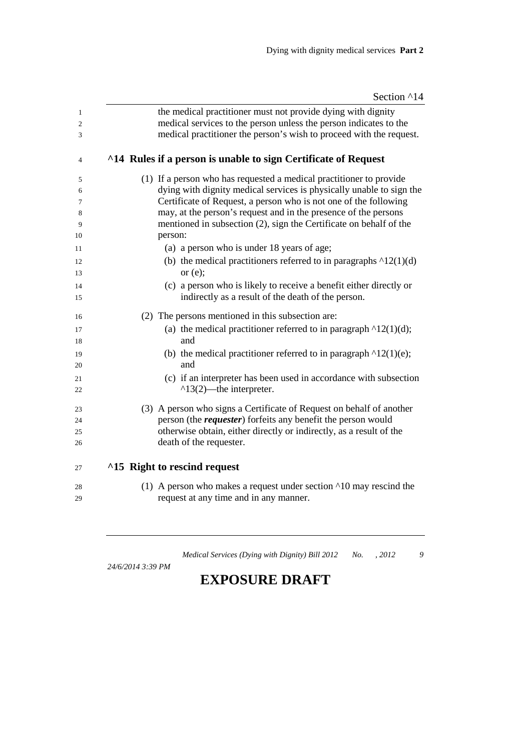| Section ^14 |  |  |
|-------------|--|--|
|-------------|--|--|

| $\mathbf{1}$<br>$\overline{c}$<br>3 | the medical practitioner must not provide dying with dignity<br>medical services to the person unless the person indicates to the<br>medical practitioner the person's wish to proceed with the request. |
|-------------------------------------|----------------------------------------------------------------------------------------------------------------------------------------------------------------------------------------------------------|
|                                     |                                                                                                                                                                                                          |
| 4                                   | <sup>14</sup> Rules if a person is unable to sign Certificate of Request                                                                                                                                 |
| 5                                   | (1) If a person who has requested a medical practitioner to provide                                                                                                                                      |
| 6                                   | dying with dignity medical services is physically unable to sign the                                                                                                                                     |
| 7                                   | Certificate of Request, a person who is not one of the following                                                                                                                                         |
| 8<br>9                              | may, at the person's request and in the presence of the persons<br>mentioned in subsection (2), sign the Certificate on behalf of the                                                                    |
| 10                                  | person:                                                                                                                                                                                                  |
|                                     |                                                                                                                                                                                                          |
| 11                                  | (a) a person who is under 18 years of age;                                                                                                                                                               |
| 12<br>13                            | (b) the medical practitioners referred to in paragraphs $\triangle 12(1)(d)$<br>or $(e)$ ;                                                                                                               |
| 14                                  | (c) a person who is likely to receive a benefit either directly or                                                                                                                                       |
| 15                                  | indirectly as a result of the death of the person.                                                                                                                                                       |
| 16                                  | (2) The persons mentioned in this subsection are:                                                                                                                                                        |
| 17                                  | (a) the medical practitioner referred to in paragraph $\lambda$ 12(1)(d);                                                                                                                                |
| 18                                  | and                                                                                                                                                                                                      |
| 19<br>20                            | (b) the medical practitioner referred to in paragraph $\lambda$ 12(1)(e);<br>and                                                                                                                         |
| 21                                  | (c) if an interpreter has been used in accordance with subsection                                                                                                                                        |
| 22                                  | $^13(2)$ —the interpreter.                                                                                                                                                                               |
| 23                                  | (3) A person who signs a Certificate of Request on behalf of another                                                                                                                                     |
| 24                                  | person (the <i>requester</i> ) forfeits any benefit the person would                                                                                                                                     |
| 25                                  | otherwise obtain, either directly or indirectly, as a result of the                                                                                                                                      |
| 26                                  | death of the requester.                                                                                                                                                                                  |
| 27                                  | ^15 Right to rescind request                                                                                                                                                                             |
| 28                                  | (1) A person who makes a request under section $\triangle 10$ may rescind the                                                                                                                            |
| 29                                  | request at any time and in any manner.                                                                                                                                                                   |
|                                     |                                                                                                                                                                                                          |

*24/6/2014 3:39 PM*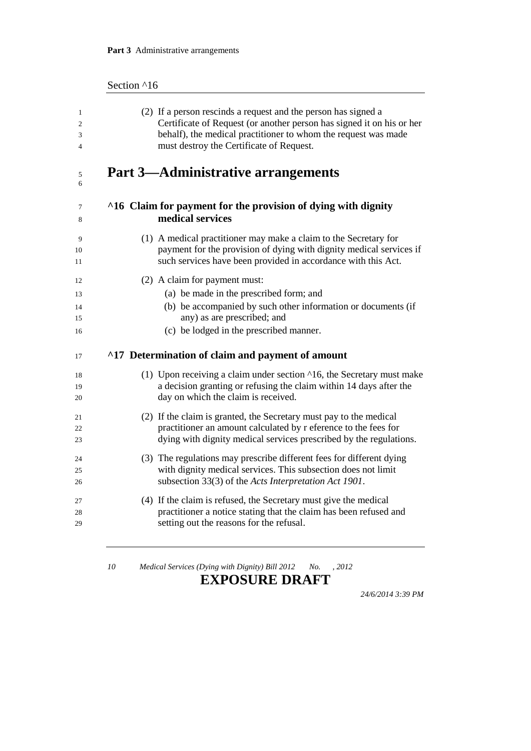| Section ^16 |  |  |
|-------------|--|--|
|-------------|--|--|

| $\mathbf{1}$   | (2) If a person rescinds a request and the person has signed a                    |
|----------------|-----------------------------------------------------------------------------------|
| $\overline{c}$ | Certificate of Request (or another person has signed it on his or her             |
| 3              | behalf), the medical practitioner to whom the request was made                    |
| $\overline{4}$ | must destroy the Certificate of Request.                                          |
| 5<br>6         | <b>Part 3—Administrative arrangements</b>                                         |
| 7              | ^16 Claim for payment for the provision of dying with dignity                     |
| 8              | medical services                                                                  |
| 9              | (1) A medical practitioner may make a claim to the Secretary for                  |
| 10             | payment for the provision of dying with dignity medical services if               |
| 11             | such services have been provided in accordance with this Act.                     |
| 12             | (2) A claim for payment must:                                                     |
| 13             | (a) be made in the prescribed form; and                                           |
| 14             | (b) be accompanied by such other information or documents (if                     |
| 15             | any) as are prescribed; and                                                       |
| 16             | (c) be lodged in the prescribed manner.                                           |
| 17             | ^17 Determination of claim and payment of amount                                  |
| 18             | (1) Upon receiving a claim under section $\triangle 16$ , the Secretary must make |
| 19             | a decision granting or refusing the claim within 14 days after the                |
| 20             | day on which the claim is received.                                               |
| 21             | (2) If the claim is granted, the Secretary must pay to the medical                |
| 22             | practitioner an amount calculated by r eference to the fees for                   |
| 23             | dying with dignity medical services prescribed by the regulations.                |
| 24             | (3) The regulations may prescribe different fees for different dying              |
| 25             | with dignity medical services. This subsection does not limit                     |
| 26             | subsection 33(3) of the Acts Interpretation Act 1901.                             |
| 27             | (4) If the claim is refused, the Secretary must give the medical                  |
| 28             | practitioner a notice stating that the claim has been refused and                 |
| 29             | setting out the reasons for the refusal.                                          |

#### **EXPOSURE DRAFT**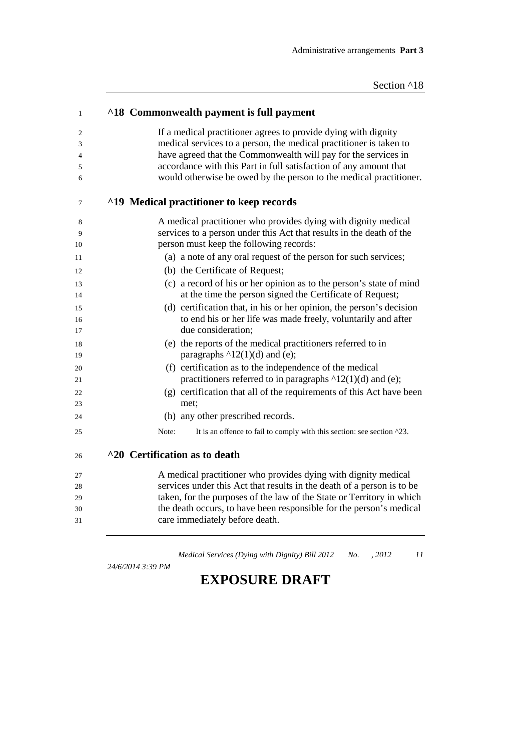| ^18 Commonwealth payment is full payment                                                                                                                                                                                                                                                                                   |
|----------------------------------------------------------------------------------------------------------------------------------------------------------------------------------------------------------------------------------------------------------------------------------------------------------------------------|
| If a medical practitioner agrees to provide dying with dignity<br>medical services to a person, the medical practitioner is taken to                                                                                                                                                                                       |
| have agreed that the Commonwealth will pay for the services in                                                                                                                                                                                                                                                             |
| accordance with this Part in full satisfaction of any amount that<br>would otherwise be owed by the person to the medical practitioner.                                                                                                                                                                                    |
| <sup>19</sup> Medical practitioner to keep records                                                                                                                                                                                                                                                                         |
| A medical practitioner who provides dying with dignity medical<br>services to a person under this Act that results in the death of the                                                                                                                                                                                     |
| person must keep the following records:                                                                                                                                                                                                                                                                                    |
| (a) a note of any oral request of the person for such services;                                                                                                                                                                                                                                                            |
| (b) the Certificate of Request;                                                                                                                                                                                                                                                                                            |
| (c) a record of his or her opinion as to the person's state of mind                                                                                                                                                                                                                                                        |
| at the time the person signed the Certificate of Request;                                                                                                                                                                                                                                                                  |
| (d) certification that, in his or her opinion, the person's decision<br>to end his or her life was made freely, voluntarily and after                                                                                                                                                                                      |
| due consideration;                                                                                                                                                                                                                                                                                                         |
| (e) the reports of the medical practitioners referred to in<br>paragraphs ^12(1)(d) and (e);                                                                                                                                                                                                                               |
| (f) certification as to the independence of the medical<br>practitioners referred to in paragraphs $\triangle 12(1)(d)$ and (e);                                                                                                                                                                                           |
| (g) certification that all of the requirements of this Act have been<br>met;                                                                                                                                                                                                                                               |
| (h) any other prescribed records.                                                                                                                                                                                                                                                                                          |
| Note:<br>It is an offence to fail to comply with this section: see section ^23.                                                                                                                                                                                                                                            |
| ^20 Certification as to death                                                                                                                                                                                                                                                                                              |
| A medical practitioner who provides dying with dignity medical<br>services under this Act that results in the death of a person is to be<br>taken, for the purposes of the law of the State or Territory in which<br>the death occurs, to have been responsible for the person's medical<br>care immediately before death. |

*24/6/2014 3:39 PM*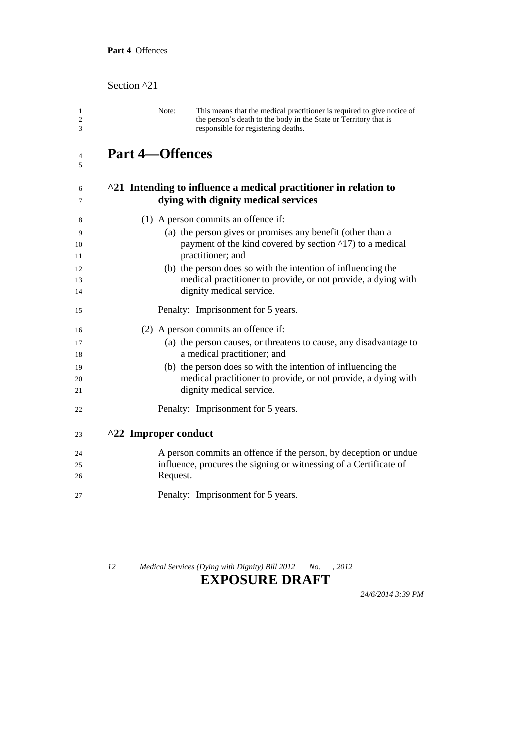| Section ^21 |                        |                                                                                                                                                                                   |
|-------------|------------------------|-----------------------------------------------------------------------------------------------------------------------------------------------------------------------------------|
|             | Note:                  | This means that the medical practitioner is required to give notice of<br>the person's death to the body in the State or Territory that is<br>responsible for registering deaths. |
|             | <b>Part 4-Offences</b> |                                                                                                                                                                                   |
|             |                        | ^21 Intending to influence a medical practitioner in relation to<br>dying with dignity medical services                                                                           |
|             |                        | (1) A person commits an offence if:                                                                                                                                               |
|             |                        | (a) the person gives or promises any benefit (other than a<br>payment of the kind covered by section ^17) to a medical<br>practitioner; and                                       |
|             |                        | (b) the person does so with the intention of influencing the<br>medical practitioner to provide, or not provide, a dying with<br>dignity medical service.                         |
|             |                        | Penalty: Imprisonment for 5 years.                                                                                                                                                |
|             |                        | (2) A person commits an offence if:                                                                                                                                               |
|             |                        | (a) the person causes, or threatens to cause, any disadvantage to                                                                                                                 |
|             |                        | a medical practitioner; and                                                                                                                                                       |
|             |                        | (b) the person does so with the intention of influencing the<br>medical practitioner to provide, or not provide, a dying with                                                     |
|             |                        | dignity medical service.                                                                                                                                                          |
|             |                        | Penalty: Imprisonment for 5 years.                                                                                                                                                |
|             | ^22 Improper conduct   |                                                                                                                                                                                   |
|             |                        | A person commits an offence if the person, by deception or undue                                                                                                                  |
|             |                        | influence, procures the signing or witnessing of a Certificate of                                                                                                                 |
|             | Request.               |                                                                                                                                                                                   |
|             |                        | Penalty: Imprisonment for 5 years.                                                                                                                                                |

#### **EXPOSURE DRAFT**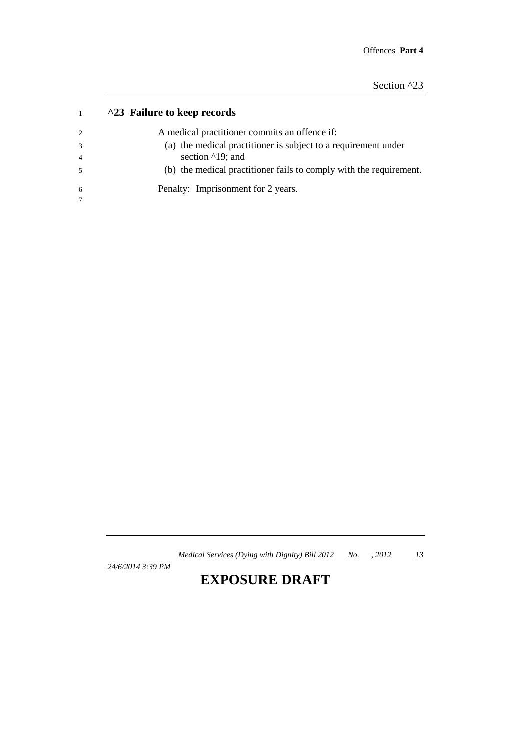| <sup>1</sup> 23 Failure to keep records |  |
|-----------------------------------------|--|
|-----------------------------------------|--|

| 2              | A medical practitioner commits an offence if:                      |
|----------------|--------------------------------------------------------------------|
| 3              | (a) the medical practitioner is subject to a requirement under     |
| $\overline{4}$ | section $\triangle$ 19; and                                        |
| .5             | (b) the medical practitioner fails to comply with the requirement. |
| 6              | Penalty: Imprisonment for 2 years.                                 |
|                |                                                                    |

*24/6/2014 3:39 PM*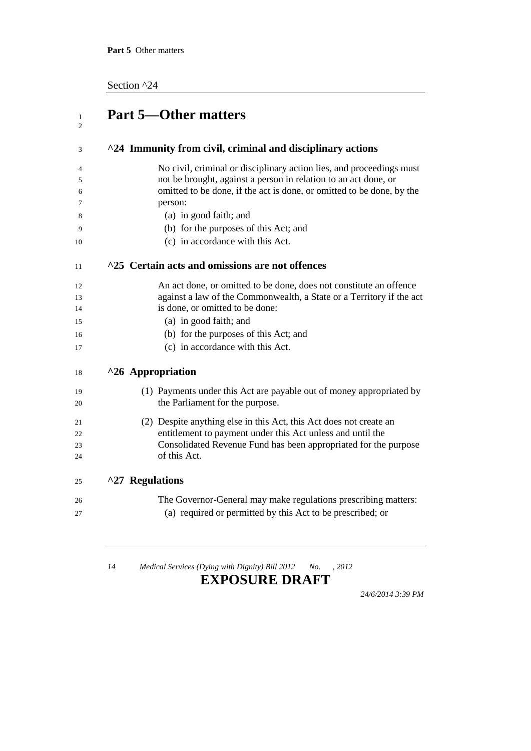Section ^24

| ^24 Immunity from civil, criminal and disciplinary actions                                                                                          |
|-----------------------------------------------------------------------------------------------------------------------------------------------------|
| No civil, criminal or disciplinary action lies, and proceedings must                                                                                |
| not be brought, against a person in relation to an act done, or<br>omitted to be done, if the act is done, or omitted to be done, by the<br>person: |
| (a) in good faith; and                                                                                                                              |
| (b) for the purposes of this Act; and                                                                                                               |
| (c) in accordance with this Act.                                                                                                                    |
| ^25 Certain acts and omissions are not offences                                                                                                     |
| An act done, or omitted to be done, does not constitute an offence                                                                                  |
| against a law of the Commonwealth, a State or a Territory if the act                                                                                |
| is done, or omitted to be done:                                                                                                                     |
| (a) in good faith; and                                                                                                                              |
| (b) for the purposes of this Act; and                                                                                                               |
| (c) in accordance with this Act.                                                                                                                    |
| ^26 Appropriation                                                                                                                                   |
| (1) Payments under this Act are payable out of money appropriated by                                                                                |
| the Parliament for the purpose.                                                                                                                     |
| (2) Despite anything else in this Act, this Act does not create an                                                                                  |
| entitlement to payment under this Act unless and until the                                                                                          |
| Consolidated Revenue Fund has been appropriated for the purpose                                                                                     |
| of this Act.                                                                                                                                        |
| ^27 Regulations                                                                                                                                     |
| The Governor-General may make regulations prescribing matters:                                                                                      |
| (a) required or permitted by this Act to be prescribed; or                                                                                          |

<u> 1989 - Johann Stoff, fransk politik (d. 1989)</u>

*14 Medical Services (Dying with Dignity) Bill 2012 No. , 2012*

#### **EXPOSURE DRAFT**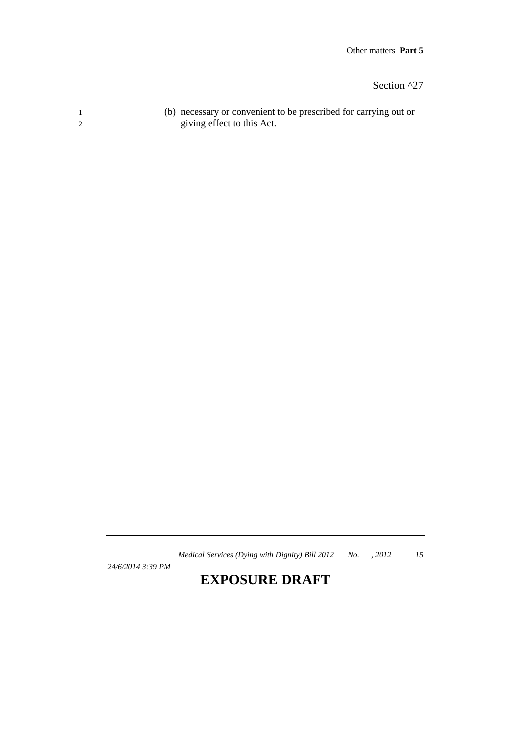Section ^27

1 (b) necessary or convenient to be prescribed for carrying out or 2 giving effect to this Act.

*Medical Services (Dying with Dignity) Bill 2012 No. , 2012 15*

*24/6/2014 3:39 PM*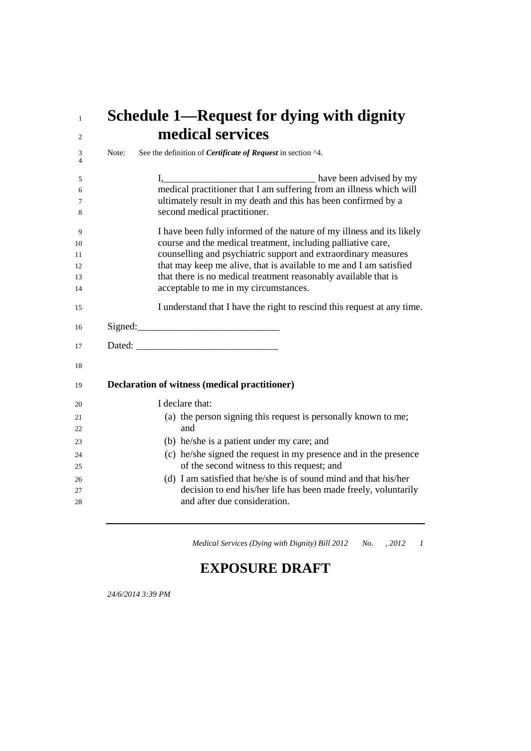# **Schedule 1—Request for dying with dignity medical services**

| 3<br>$\overline{4}$ | Note: | See the definition of <i>Certificate of Request</i> in section ^4.                                                                    |
|---------------------|-------|---------------------------------------------------------------------------------------------------------------------------------------|
| 5<br>6<br>7         |       | medical practitioner that I am suffering from an illness which will<br>ultimately result in my death and this has been confirmed by a |
| 8                   |       | second medical practitioner.                                                                                                          |
| 9                   |       | I have been fully informed of the nature of my illness and its likely                                                                 |
| 10<br>11            |       | course and the medical treatment, including palliative care,<br>counselling and psychiatric support and extraordinary measures        |
| 12                  |       | that may keep me alive, that is available to me and I am satisfied                                                                    |
| 13<br>14            |       | that there is no medical treatment reasonably available that is<br>acceptable to me in my circumstances.                              |
| 15                  |       | I understand that I have the right to rescind this request at any time.                                                               |
| 16                  |       |                                                                                                                                       |
| 17                  |       |                                                                                                                                       |
| 18                  |       |                                                                                                                                       |
| 19                  |       | <b>Declaration of witness (medical practitioner)</b>                                                                                  |
| 20                  |       | I declare that:                                                                                                                       |
| 21                  |       | (a) the person signing this request is personally known to me;                                                                        |
| 22                  |       | and                                                                                                                                   |
| 23                  |       | (b) he/she is a patient under my care; and                                                                                            |
| 24                  |       | (c) he/she signed the request in my presence and in the presence<br>of the second witness to this request; and                        |
| 25                  |       |                                                                                                                                       |
| 26<br>27            |       | (d) I am satisfied that he/she is of sound mind and that his/her<br>decision to end his/her life has been made freely, voluntarily    |
| 28                  |       | and after due consideration.                                                                                                          |
|                     |       |                                                                                                                                       |

*Medical Services (Dying with Dignity) Bill 2012 No. , 2012 1*

## **EXPOSURE DRAFT**